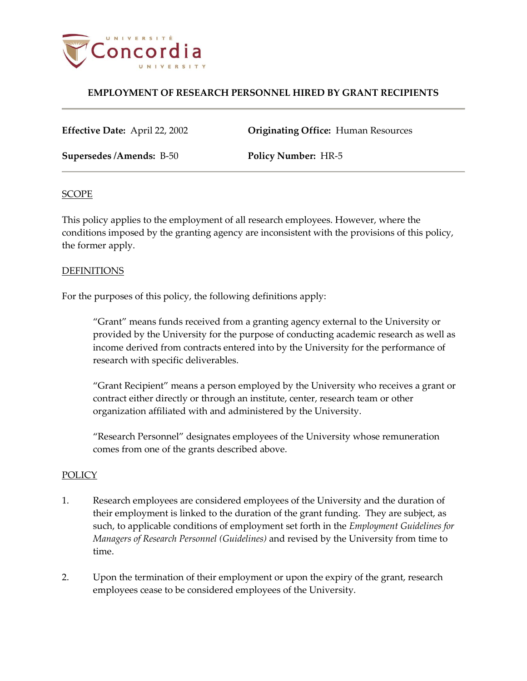

## **EMPLOYMENT OF RESEARCH PERSONNEL HIRED BY GRANT RECIPIENTS**

**Effective Date:** April 22, 2002 **Originating Office:** Human Resources

**Supersedes /Amends:** B-50 **Policy Number:** HR-5

#### **SCOPE**

This policy applies to the employment of all research employees. However, where the conditions imposed by the granting agency are inconsistent with the provisions of this policy, the former apply.

### DEFINITIONS

For the purposes of this policy, the following definitions apply:

"Grant" means funds received from a granting agency external to the University or provided by the University for the purpose of conducting academic research as well as income derived from contracts entered into by the University for the performance of research with specific deliverables.

"Grant Recipient" means a person employed by the University who receives a grant or contract either directly or through an institute, center, research team or other organization affiliated with and administered by the University.

"Research Personnel" designates employees of the University whose remuneration comes from one of the grants described above.

## **POLICY**

- 1. Research employees are considered employees of the University and the duration of their employment is linked to the duration of the grant funding. They are subject, as such, to applicable conditions of employment set forth in the *Employment Guidelines for Managers of Research Personnel (Guidelines)* and revised by the University from time to time.
- 2. Upon the termination of their employment or upon the expiry of the grant, research employees cease to be considered employees of the University.